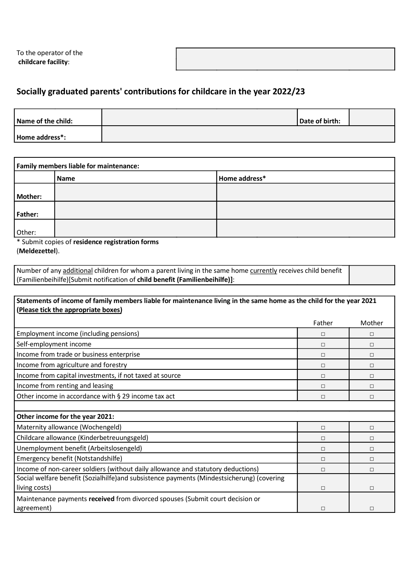To the operator of the childcare facility:

## Socially graduated parents' contributions for childcare in the year 2022/23

| Name of the child: | Date of birth: |  |
|--------------------|----------------|--|
| Home address*:     |                |  |

| <b>Family members liable for maintenance:</b>                                                                                                                 |             |               |  |
|---------------------------------------------------------------------------------------------------------------------------------------------------------------|-------------|---------------|--|
|                                                                                                                                                               | <b>Name</b> | Home address* |  |
| <b>Mother:</b>                                                                                                                                                |             |               |  |
| <b>Father:</b>                                                                                                                                                |             |               |  |
| Other:<br>$\mathbf{r}$ , $\mathbf{r}$ , $\mathbf{r}$ , $\mathbf{r}$ , $\mathbf{r}$ , $\mathbf{r}$ , $\mathbf{r}$ , $\mathbf{r}$ , $\mathbf{r}$ , $\mathbf{r}$ | .<br>.      |               |  |

\* Submit copies of residence registration forms (Meldezettel).

Number of any additional children for whom a parent living in the same home currently receives child benefit (Familienbeihilfe)[Submit notification of child benefit (Familienbeihilfe)]:

| Statements of income of family members liable for maintenance living in the same home as the child for the year 2021<br>(Please tick the appropriate boxes) |        |        |
|-------------------------------------------------------------------------------------------------------------------------------------------------------------|--------|--------|
|                                                                                                                                                             | Father | Mother |
| Employment income (including pensions)                                                                                                                      | П      | $\Box$ |
| Self-employment income                                                                                                                                      | П      | П      |
| Income from trade or business enterprise                                                                                                                    | П      | $\Box$ |
| Income from agriculture and forestry                                                                                                                        | П      | $\Box$ |
| Income from capital investments, if not taxed at source                                                                                                     | $\Box$ | $\Box$ |
| Income from renting and leasing                                                                                                                             | П      | П      |
| Other income in accordance with § 29 income tax act                                                                                                         | П      | $\Box$ |
|                                                                                                                                                             |        |        |
| Other income for the year 2021:                                                                                                                             |        |        |
| Maternity allowance (Wochengeld)                                                                                                                            | П      | П      |
| Childcare allowance (Kinderbetreuungsgeld)                                                                                                                  | П      | П      |
| Unemployment benefit (Arbeitslosengeld)                                                                                                                     | П      | $\Box$ |
| Emergency benefit (Notstandshilfe)                                                                                                                          | П      | $\Box$ |
| Income of non-career soldiers (without daily allowance and statutory deductions)                                                                            | П      | П      |
| Social welfare benefit (Sozialhilfe) and subsistence payments (Mindestsicherung) (covering                                                                  |        |        |
| living costs)                                                                                                                                               | П      | П      |
| Maintenance payments received from divorced spouses (Submit court decision or<br>agreement)                                                                 | П      | П      |